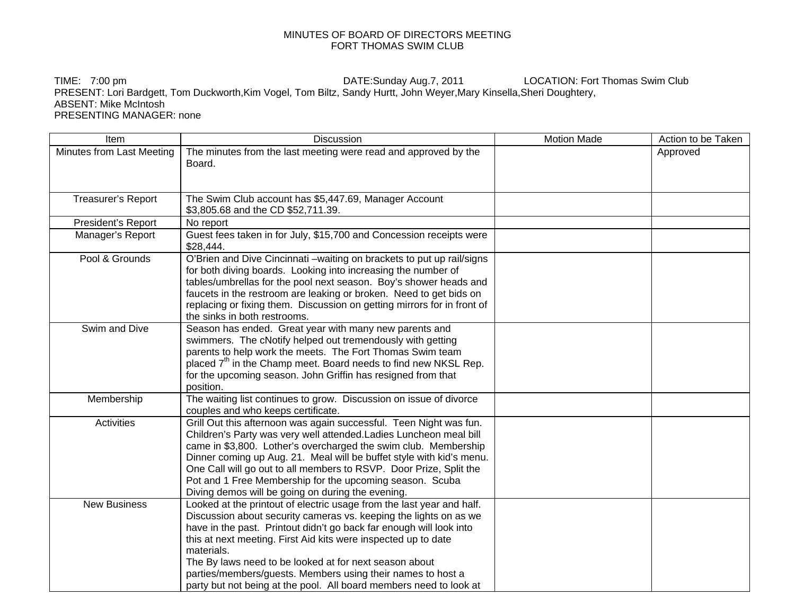## MINUTES OF BOARD OF DIRECTORS MEETING FORT THOMAS SWIM CLUB

TIME: 7:00 pm **DATE:Sunday Aug.7, 2011** LOCATION: Fort Thomas Swim Club PRESENT: Lori Bardgett, Tom Duckworth,Kim Vogel, Tom Biltz, Sandy Hurtt, John Weyer,Mary Kinsella,Sheri Doughtery, ABSENT: Mike McIntosh PRESENTING MANAGER: none

| Item                      | <b>Discussion</b>                                                                                                                                                                                                                                                                                                                                                                                                                                                                                | <b>Motion Made</b> | Action to be Taken |
|---------------------------|--------------------------------------------------------------------------------------------------------------------------------------------------------------------------------------------------------------------------------------------------------------------------------------------------------------------------------------------------------------------------------------------------------------------------------------------------------------------------------------------------|--------------------|--------------------|
| Minutes from Last Meeting | The minutes from the last meeting were read and approved by the<br>Board.                                                                                                                                                                                                                                                                                                                                                                                                                        |                    | Approved           |
| Treasurer's Report        | The Swim Club account has \$5,447.69, Manager Account<br>\$3,805.68 and the CD \$52,711.39.                                                                                                                                                                                                                                                                                                                                                                                                      |                    |                    |
| President's Report        | No report                                                                                                                                                                                                                                                                                                                                                                                                                                                                                        |                    |                    |
| Manager's Report          | Guest fees taken in for July, \$15,700 and Concession receipts were<br>\$28,444.                                                                                                                                                                                                                                                                                                                                                                                                                 |                    |                    |
| Pool & Grounds            | O'Brien and Dive Cincinnati -waiting on brackets to put up rail/signs<br>for both diving boards. Looking into increasing the number of<br>tables/umbrellas for the pool next season. Boy's shower heads and<br>faucets in the restroom are leaking or broken. Need to get bids on<br>replacing or fixing them. Discussion on getting mirrors for in front of<br>the sinks in both restrooms.                                                                                                     |                    |                    |
| Swim and Dive             | Season has ended. Great year with many new parents and<br>swimmers. The cNotify helped out tremendously with getting<br>parents to help work the meets. The Fort Thomas Swim team<br>placed 7 <sup>th</sup> in the Champ meet. Board needs to find new NKSL Rep.<br>for the upcoming season. John Griffin has resigned from that<br>position.                                                                                                                                                    |                    |                    |
| Membership                | The waiting list continues to grow. Discussion on issue of divorce<br>couples and who keeps certificate.                                                                                                                                                                                                                                                                                                                                                                                         |                    |                    |
| <b>Activities</b>         | Grill Out this afternoon was again successful. Teen Night was fun.<br>Children's Party was very well attended. Ladies Luncheon meal bill<br>came in \$3,800. Lother's overcharged the swim club. Membership<br>Dinner coming up Aug. 21. Meal will be buffet style with kid's menu.<br>One Call will go out to all members to RSVP. Door Prize, Split the<br>Pot and 1 Free Membership for the upcoming season. Scuba<br>Diving demos will be going on during the evening.                       |                    |                    |
| <b>New Business</b>       | Looked at the printout of electric usage from the last year and half.<br>Discussion about security cameras vs. keeping the lights on as we<br>have in the past. Printout didn't go back far enough will look into<br>this at next meeting. First Aid kits were inspected up to date<br>materials.<br>The By laws need to be looked at for next season about<br>parties/members/guests. Members using their names to host a<br>party but not being at the pool. All board members need to look at |                    |                    |